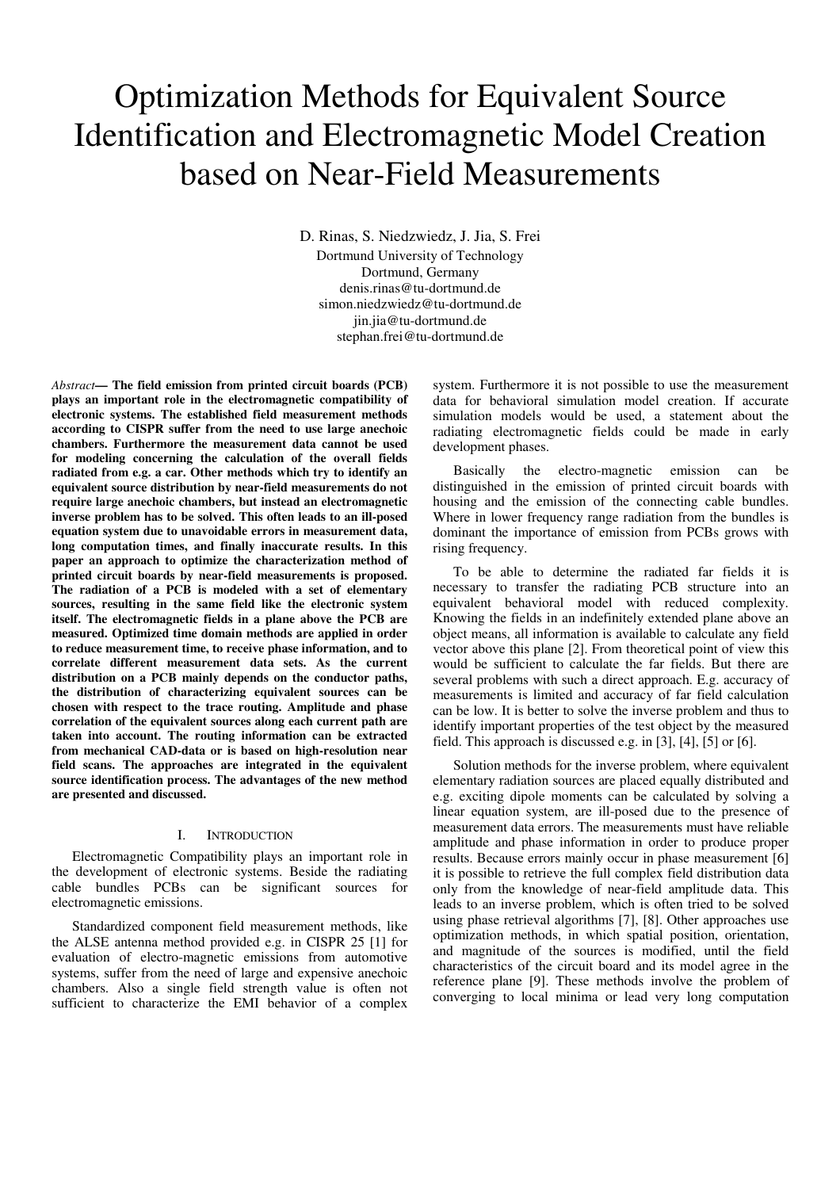# Optimization Methods for Equivalent Source Identification and Electromagnetic Model Creation based on Near-Field Measurements

D. Rinas, S. Niedzwiedz, J. Jia, S. Frei Dortmund University of Technology Dortmund, Germany denis.rinas@tu-dortmund.de simon.niedzwiedz@tu-dortmund.de jin.jia@tu-dortmund.de stephan.frei@tu-dortmund.de

*Abstract***— The field emission from printed circuit boards (PCB) plays an important role in the electromagnetic compatibility of electronic systems. The established field measurement methods according to CISPR suffer from the need to use large anechoic chambers. Furthermore the measurement data cannot be used for modeling concerning the calculation of the overall fields radiated from e.g. a car. Other methods which try to identify an equivalent source distribution by near-field measurements do not require large anechoic chambers, but instead an electromagnetic inverse problem has to be solved. This often leads to an ill-posed equation system due to unavoidable errors in measurement data, long computation times, and finally inaccurate results. In this paper an approach to optimize the characterization method of printed circuit boards by near-field measurements is proposed. The radiation of a PCB is modeled with a set of elementary sources, resulting in the same field like the electronic system itself. The electromagnetic fields in a plane above the PCB are measured. Optimized time domain methods are applied in order to reduce measurement time, to receive phase information, and to correlate different measurement data sets. As the current distribution on a PCB mainly depends on the conductor paths, the distribution of characterizing equivalent sources can be chosen with respect to the trace routing. Amplitude and phase correlation of the equivalent sources along each current path are taken into account. The routing information can be extracted from mechanical CAD-data or is based on high-resolution near field scans. The approaches are integrated in the equivalent source identification process. The advantages of the new method are presented and discussed.** 

#### I. INTRODUCTION

Electromagnetic Compatibility plays an important role in the development of electronic systems. Beside the radiating cable bundles PCBs can be significant sources for electromagnetic emissions.

Standardized component field measurement methods, like the ALSE antenna method provided e.g. in CISPR 25 [1] for evaluation of electro-magnetic emissions from automotive systems, suffer from the need of large and expensive anechoic chambers. Also a single field strength value is often not sufficient to characterize the EMI behavior of a complex system. Furthermore it is not possible to use the measurement data for behavioral simulation model creation. If accurate simulation models would be used, a statement about the radiating electromagnetic fields could be made in early development phases.

Basically the electro-magnetic emission can be distinguished in the emission of printed circuit boards with housing and the emission of the connecting cable bundles. Where in lower frequency range radiation from the bundles is dominant the importance of emission from PCBs grows with rising frequency.

To be able to determine the radiated far fields it is necessary to transfer the radiating PCB structure into an equivalent behavioral model with reduced complexity. Knowing the fields in an indefinitely extended plane above an object means, all information is available to calculate any field vector above this plane [2]. From theoretical point of view this would be sufficient to calculate the far fields. But there are several problems with such a direct approach. E.g. accuracy of measurements is limited and accuracy of far field calculation can be low. It is better to solve the inverse problem and thus to identify important properties of the test object by the measured field. This approach is discussed e.g. in [3], [4], [5] or [6].

Solution methods for the inverse problem, where equivalent elementary radiation sources are placed equally distributed and e.g. exciting dipole moments can be calculated by solving a linear equation system, are ill-posed due to the presence of measurement data errors. The measurements must have reliable amplitude and phase information in order to produce proper results. Because errors mainly occur in phase measurement [6] it is possible to retrieve the full complex field distribution data only from the knowledge of near-field amplitude data. This leads to an inverse problem, which is often tried to be solved using phase retrieval algorithms [7], [8]. Other approaches use optimization methods, in which spatial position, orientation, and magnitude of the sources is modified, until the field characteristics of the circuit board and its model agree in the reference plane [9]. These methods involve the problem of converging to local minima or lead very long computation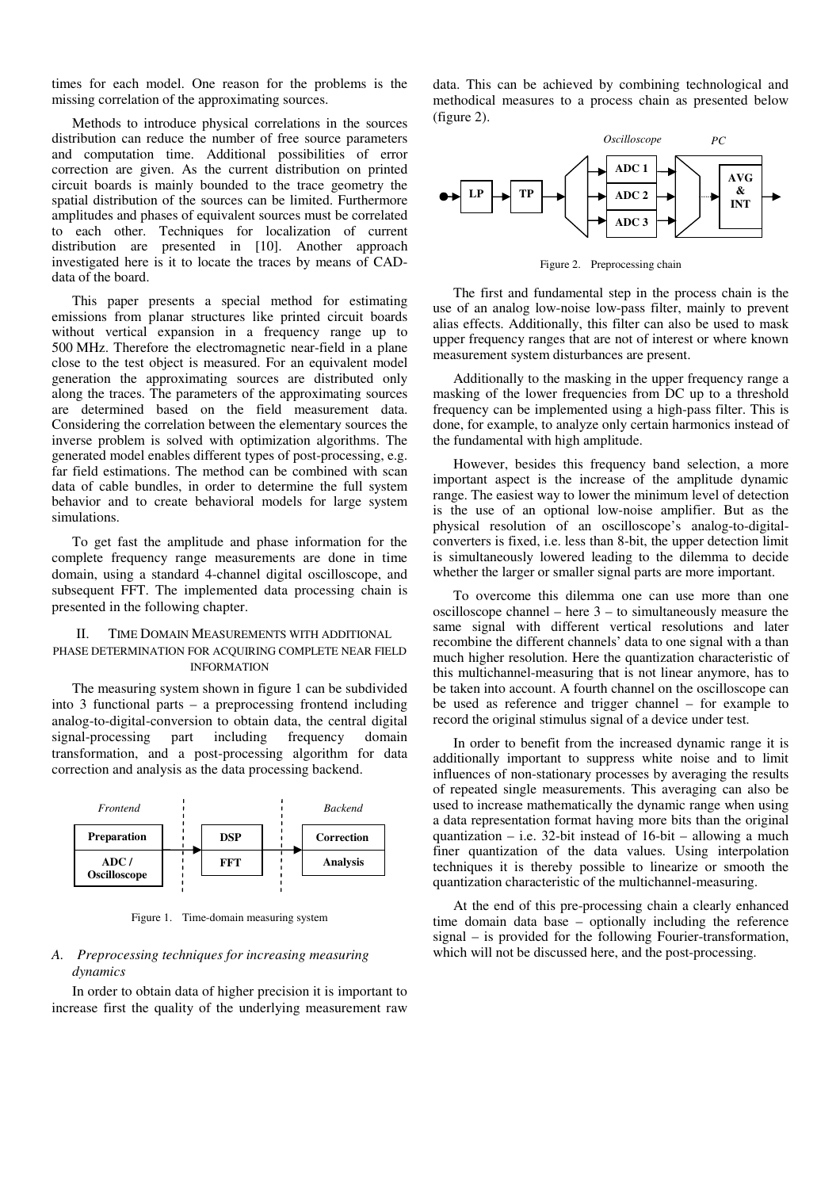times for each model. One reason for the problems is the missing correlation of the approximating sources.

Methods to introduce physical correlations in the sources distribution can reduce the number of free source parameters and computation time. Additional possibilities of error correction are given. As the current distribution on printed circuit boards is mainly bounded to the trace geometry the spatial distribution of the sources can be limited. Furthermore amplitudes and phases of equivalent sources must be correlated to each other. Techniques for localization of current distribution are presented in [10]. Another approach investigated here is it to locate the traces by means of CADdata of the board.

This paper presents a special method for estimating emissions from planar structures like printed circuit boards without vertical expansion in a frequency range up to 500 MHz. Therefore the electromagnetic near-field in a plane close to the test object is measured. For an equivalent model generation the approximating sources are distributed only along the traces. The parameters of the approximating sources are determined based on the field measurement data. Considering the correlation between the elementary sources the inverse problem is solved with optimization algorithms. The generated model enables different types of post-processing, e.g. far field estimations. The method can be combined with scan data of cable bundles, in order to determine the full system behavior and to create behavioral models for large system simulations.

To get fast the amplitude and phase information for the complete frequency range measurements are done in time domain, using a standard 4-channel digital oscilloscope, and subsequent FFT. The implemented data processing chain is presented in the following chapter.

## TIME DOMAIN MEASUREMENTS WITH ADDITIONAL PHASE DETERMINATION FOR ACQUIRING COMPLETE NEAR FIELD INFORMATION

The measuring system shown in figure 1 can be subdivided into 3 functional parts – a preprocessing frontend including analog-to-digital-conversion to obtain data, the central digital signal-processing part including frequency domain transformation, and a post-processing algorithm for data correction and analysis as the data processing backend.



Figure 1. Time-domain measuring system

# *A. Preprocessing techniques for increasing measuring dynamics*

In order to obtain data of higher precision it is important to increase first the quality of the underlying measurement raw data. This can be achieved by combining technological and methodical measures to a process chain as presented below (figure 2).



Figure 2. Preprocessing chain

The first and fundamental step in the process chain is the use of an analog low-noise low-pass filter, mainly to prevent alias effects. Additionally, this filter can also be used to mask upper frequency ranges that are not of interest or where known measurement system disturbances are present.

Additionally to the masking in the upper frequency range a masking of the lower frequencies from DC up to a threshold frequency can be implemented using a high-pass filter. This is done, for example, to analyze only certain harmonics instead of the fundamental with high amplitude.

However, besides this frequency band selection, a more important aspect is the increase of the amplitude dynamic range. The easiest way to lower the minimum level of detection is the use of an optional low-noise amplifier. But as the physical resolution of an oscilloscope's analog-to-digitalconverters is fixed, i.e. less than 8-bit, the upper detection limit is simultaneously lowered leading to the dilemma to decide whether the larger or smaller signal parts are more important.

To overcome this dilemma one can use more than one oscilloscope channel – here 3 – to simultaneously measure the same signal with different vertical resolutions and later recombine the different channels' data to one signal with a than much higher resolution. Here the quantization characteristic of this multichannel-measuring that is not linear anymore, has to be taken into account. A fourth channel on the oscilloscope can be used as reference and trigger channel – for example to record the original stimulus signal of a device under test.

In order to benefit from the increased dynamic range it is additionally important to suppress white noise and to limit influences of non-stationary processes by averaging the results of repeated single measurements. This averaging can also be used to increase mathematically the dynamic range when using a data representation format having more bits than the original quantization – i.e. 32-bit instead of  $16$ -bit – allowing a much finer quantization of the data values. Using interpolation techniques it is thereby possible to linearize or smooth the quantization characteristic of the multichannel-measuring.

At the end of this pre-processing chain a clearly enhanced time domain data base – optionally including the reference signal – is provided for the following Fourier-transformation, which will not be discussed here, and the post-processing.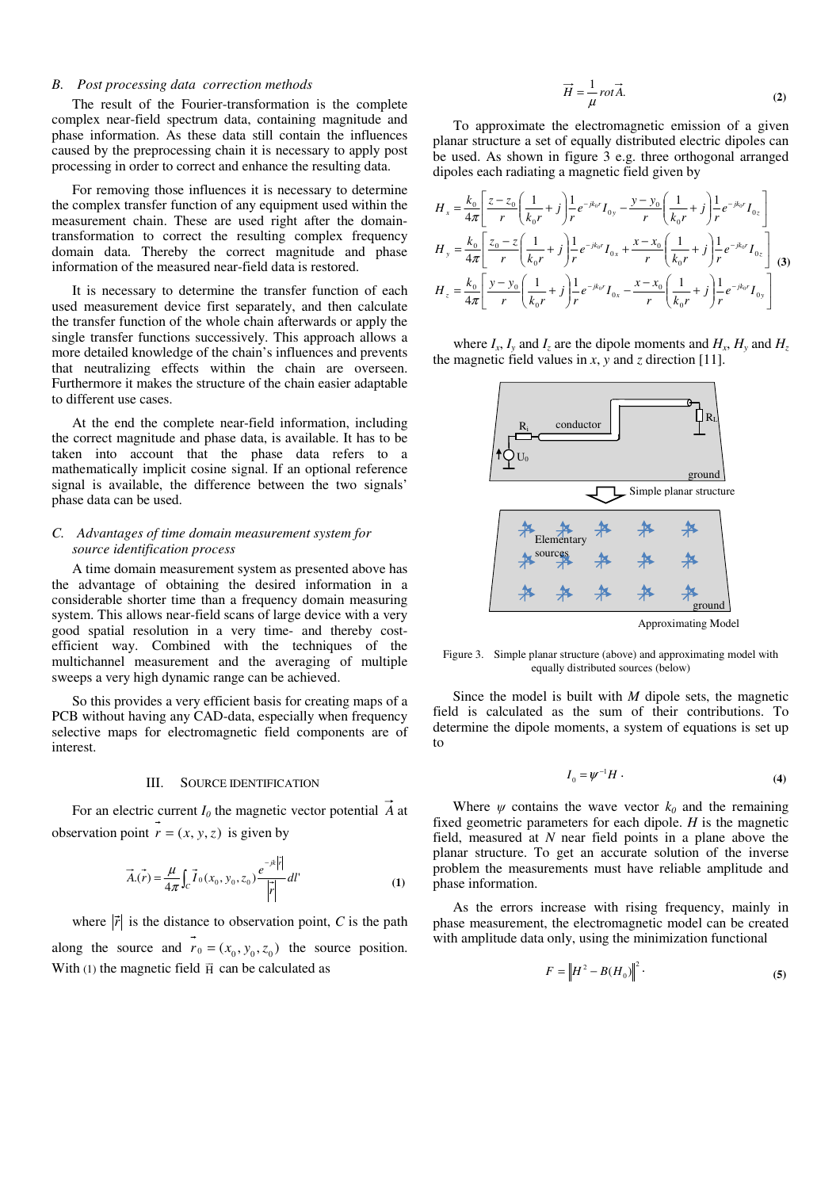## *B. Post processing data correction methods*

The result of the Fourier-transformation is the complete complex near-field spectrum data, containing magnitude and phase information. As these data still contain the influences caused by the preprocessing chain it is necessary to apply post processing in order to correct and enhance the resulting data.

For removing those influences it is necessary to determine the complex transfer function of any equipment used within the measurement chain. These are used right after the domaintransformation to correct the resulting complex frequency domain data. Thereby the correct magnitude and phase information of the measured near-field data is restored.

It is necessary to determine the transfer function of each used measurement device first separately, and then calculate the transfer function of the whole chain afterwards or apply the single transfer functions successively. This approach allows a more detailed knowledge of the chain's influences and prevents that neutralizing effects within the chain are overseen. Furthermore it makes the structure of the chain easier adaptable to different use cases.

At the end the complete near-field information, including the correct magnitude and phase data, is available. It has to be taken into account that the phase data refers to a mathematically implicit cosine signal. If an optional reference signal is available, the difference between the two signals' phase data can be used.

# *C. Advantages of time domain measurement system for source identification process*

A time domain measurement system as presented above has the advantage of obtaining the desired information in a considerable shorter time than a frequency domain measuring system. This allows near-field scans of large device with a very good spatial resolution in a very time- and thereby costefficient way. Combined with the techniques of the multichannel measurement and the averaging of multiple sweeps a very high dynamic range can be achieved.

So this provides a very efficient basis for creating maps of a PCB without having any CAD-data, especially when frequency selective maps for electromagnetic field components are of interest.

### III. SOURCE IDENTIFICATION

For an electric current  $I_0$  the magnetic vector potential  $\overrightarrow{A}$  at observation point  $r = (x, y, z)$  is given by

$$
\vec{A}.\vec{r}) = \frac{\mu}{4\pi} \int_C \vec{I}_0(x_0, y_0, z_0) \frac{e^{-jk|\vec{r}|}}{|\vec{r}|} dl'
$$
 (1)

where  $|\vec{r}|$  is the distance to observation point, *C* is the path along the source and  $r_0 = (x_0, y_0, z_0)$  the source position. With (1) the magnetic field  $\vec{H}$  can be calculated as

$$
\vec{H} = \frac{1}{\mu} rot \vec{A}.
$$
 (2)

To approximate the electromagnetic emission of a given planar structure a set of equally distributed electric dipoles can be used. As shown in figure 3 e.g. three orthogonal arranged dipoles each radiating a magnetic field given by

$$
H_{x} = \frac{k_{0}}{4\pi} \left[ \frac{z - z_{0}}{r} \left( \frac{1}{k_{0}r} + j \right) \frac{1}{r} e^{-jk_{0}r} I_{0y} - \frac{y - y_{0}}{r} \left( \frac{1}{k_{0}r} + j \right) \frac{1}{r} e^{-jk_{0}r} I_{0z} \right]
$$
  
\n
$$
H_{y} = \frac{k_{0}}{4\pi} \left[ \frac{z_{0} - z}{r} \left( \frac{1}{k_{0}r} + j \right) \frac{1}{r} e^{-jk_{0}r} I_{0x} + \frac{x - x_{0}}{r} \left( \frac{1}{k_{0}r} + j \right) \frac{1}{r} e^{-jk_{0}r} I_{0z} \right]
$$
  
\n
$$
H_{z} = \frac{k_{0}}{4\pi} \left[ \frac{y - y_{0}}{r} \left( \frac{1}{k_{0}r} + j \right) \frac{1}{r} e^{-jk_{0}r} I_{0x} - \frac{x - x_{0}}{r} \left( \frac{1}{k_{0}r} + j \right) \frac{1}{r} e^{-jk_{0}r} I_{0y} \right]
$$
  
\n(3)

where  $I_x$ ,  $I_y$  and  $I_z$  are the dipole moments and  $H_x$ ,  $H_y$  and  $H_z$ the magnetic field values in *x*, *y* and *z* direction [11].



Approximating Model

Figure 3. Simple planar structure (above) and approximating model with equally distributed sources (below)

Since the model is built with *M* dipole sets, the magnetic field is calculated as the sum of their contributions. To determine the dipole moments, a system of equations is set up to

$$
I_0 = \psi^{-1} H \tag{4}
$$

Where  $\psi$  contains the wave vector  $k_0$  and the remaining fixed geometric parameters for each dipole. *H* is the magnetic field, measured at *N* near field points in a plane above the planar structure. To get an accurate solution of the inverse problem the measurements must have reliable amplitude and phase information.

As the errors increase with rising frequency, mainly in phase measurement, the electromagnetic model can be created with amplitude data only, using the minimization functional

$$
F = |H^2 - B(H_0)|^2
$$
 (5)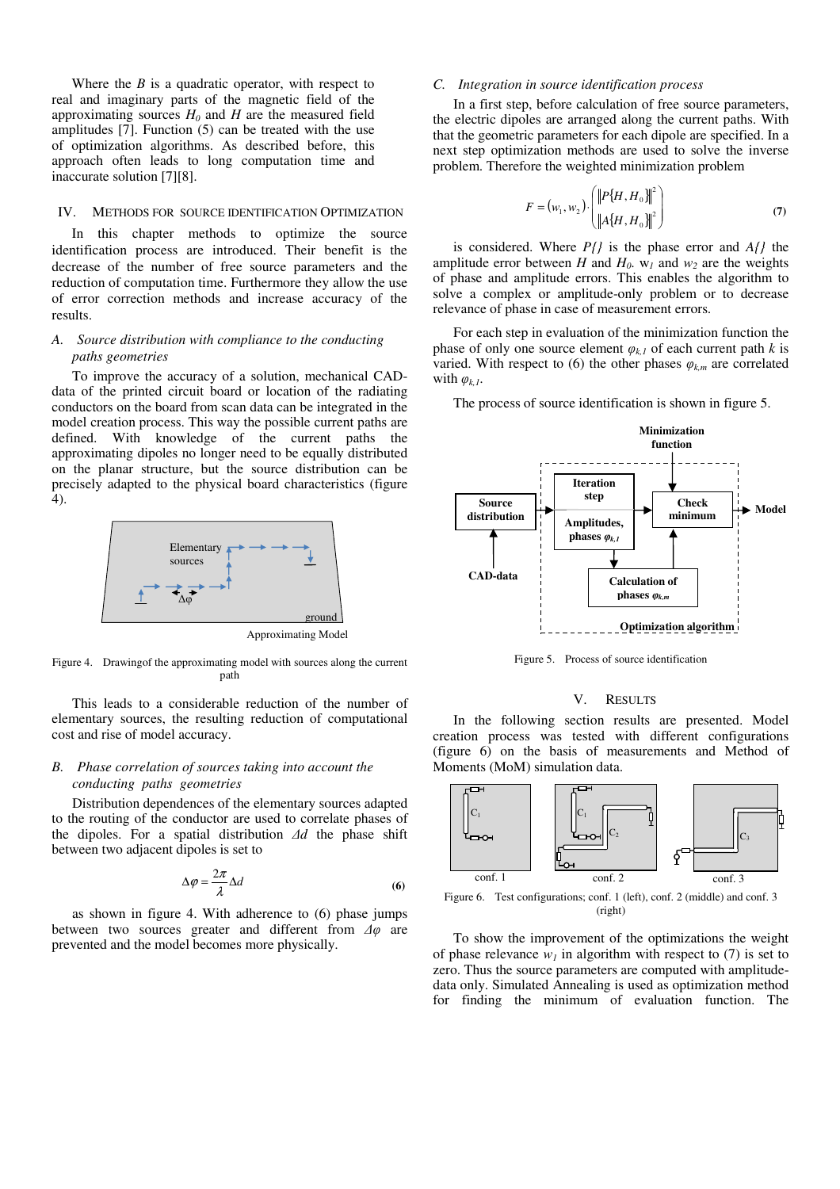Where the  $B$  is a quadratic operator, with respect to real and imaginary parts of the magnetic field of the approximating sources  $H_0$  and  $H$  are the measured field amplitudes [7]. Function (5) can be treated with the use of optimization algorithms. As described before, this approach often leads to long computation time and inaccurate solution [7][8].

#### IV. METHODS FOR SOURCE IDENTIFICATION OPTIMIZATION

In this chapter methods to optimize the source identification process are introduced. Their benefit is the decrease of the number of free source parameters and the reduction of computation time. Furthermore they allow the use of error correction methods and increase accuracy of the results.

# *A. Source distribution with compliance to the conducting paths geometries*

To improve the accuracy of a solution, mechanical CADdata of the printed circuit board or location of the radiating conductors on the board from scan data can be integrated in the model creation process. This way the possible current paths are defined. With knowledge of the current paths the approximating dipoles no longer need to be equally distributed on the planar structure, but the source distribution can be precisely adapted to the physical board characteristics (figure 4).



Figure 4. Drawingof the approximating model with sources along the current path

This leads to a considerable reduction of the number of elementary sources, the resulting reduction of computational cost and rise of model accuracy.

# *B. Phase correlation of sources taking into account the conducting paths geometries*

Distribution dependences of the elementary sources adapted to the routing of the conductor are used to correlate phases of the dipoles. For a spatial distribution *∆d* the phase shift between two adjacent dipoles is set to

$$
\Delta \varphi = \frac{2\pi}{\lambda} \Delta d \tag{6}
$$

as shown in figure 4. With adherence to (6) phase jumps between two sources greater and different from *∆φ* are prevented and the model becomes more physically.

# *C. Integration in source identification process*

In a first step, before calculation of free source parameters, the electric dipoles are arranged along the current paths. With that the geometric parameters for each dipole are specified. In a next step optimization methods are used to solve the inverse problem. Therefore the weighted minimization problem

$$
F = (w_1, w_2) \cdot \begin{pmatrix} ||P\{H, H_0\}||^2 \\ ||A\{H, H_0\}||^2 \end{pmatrix}
$$
 (7)

is considered. Where *P{}* is the phase error and *A{}* the amplitude error between *H* and  $H_0$ .  $w_1$  and  $w_2$  are the weights of phase and amplitude errors. This enables the algorithm to solve a complex or amplitude-only problem or to decrease relevance of phase in case of measurement errors.

For each step in evaluation of the minimization function the phase of only one source element  $\varphi_{k,l}$  of each current path *k* is varied. With respect to (6) the other phases  $\varphi_{km}$  are correlated with *φk,1*.

The process of source identification is shown in figure 5.



Figure 5. Process of source identification



In the following section results are presented. Model creation process was tested with different configurations (figure 6) on the basis of measurements and Method of Moments (MoM) simulation data.



(right)

To show the improvement of the optimizations the weight of phase relevance  $w_l$  in algorithm with respect to (7) is set to zero. Thus the source parameters are computed with amplitudedata only. Simulated Annealing is used as optimization method for finding the minimum of evaluation function. The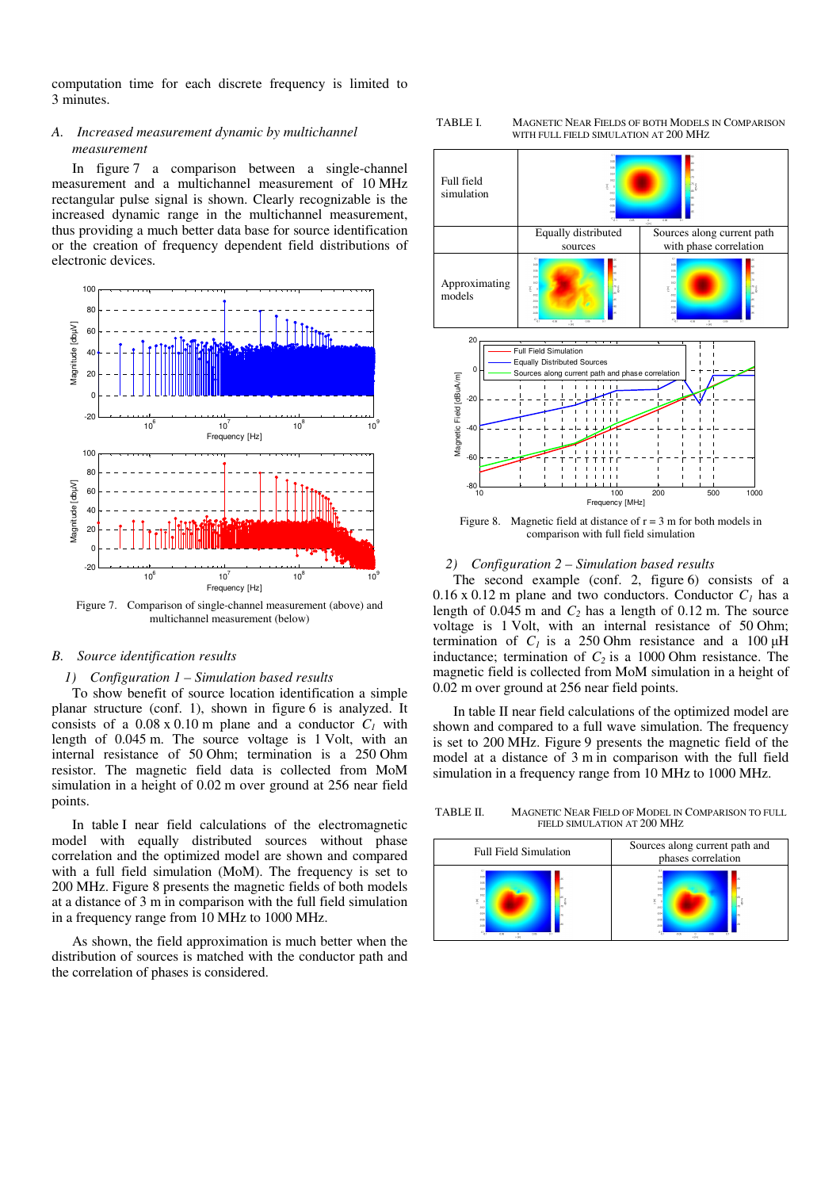computation time for each discrete frequency is limited to 3 minutes.

# *A. Increased measurement dynamic by multichannel measurement*

In figure 7 a comparison between a single-channel measurement and a multichannel measurement of 10 MHz rectangular pulse signal is shown. Clearly recognizable is the increased dynamic range in the multichannel measurement, thus providing a much better data base for source identification or the creation of frequency dependent field distributions of electronic devices.



Figure 7. Comparison of single-channel measurement (above) and multichannel measurement (below)

## *B. Source identification results*

## *1) Configuration 1 – Simulation based results*

To show benefit of source location identification a simple planar structure (conf. 1), shown in figure 6 is analyzed. It consists of a  $0.08 \times 0.10$  m plane and a conductor  $C_I$  with length of 0.045 m. The source voltage is 1 Volt, with an internal resistance of 50 Ohm; termination is a 250 Ohm resistor. The magnetic field data is collected from MoM simulation in a height of 0.02 m over ground at 256 near field points.

In table I near field calculations of the electromagnetic model with equally distributed sources without phase correlation and the optimized model are shown and compared with a full field simulation (MoM). The frequency is set to 200 MHz. Figure 8 presents the magnetic fields of both models at a distance of 3 m in comparison with the full field simulation in a frequency range from 10 MHz to 1000 MHz.

As shown, the field approximation is much better when the distribution of sources is matched with the conductor path and the correlation of phases is considered.



Figure 8. Magnetic field at distance of  $r = 3$  m for both models in comparison with full field simulation

## *2) Configuration 2 – Simulation based results*

The second example (conf. 2, figure 6) consists of a 0.16 x 0.12 m plane and two conductors. Conductor  $C<sub>1</sub>$  has a length of  $0.045$  m and  $C_2$  has a length of  $0.12$  m. The source voltage is 1 Volt, with an internal resistance of 50 Ohm; termination of  $C<sub>1</sub>$  is a 250 Ohm resistance and a 100  $\mu$ H inductance; termination of *C2* is a 1000 Ohm resistance. The magnetic field is collected from MoM simulation in a height of 0.02 m over ground at 256 near field points.

In table II near field calculations of the optimized model are shown and compared to a full wave simulation. The frequency is set to 200 MHz. Figure 9 presents the magnetic field of the model at a distance of 3 m in comparison with the full field simulation in a frequency range from 10 MHz to 1000 MHz.

TABLE II. MAGNETIC NEAR FIELD OF MODEL IN COMPARISON TO FULL FIELD SIMULATION AT 200 MHZ



TABLE I. MAGNETIC NEAR FIELDS OF BOTH MODELS IN COMPARISON WITH FULL FIELD SIMULATION AT 200 MHZ